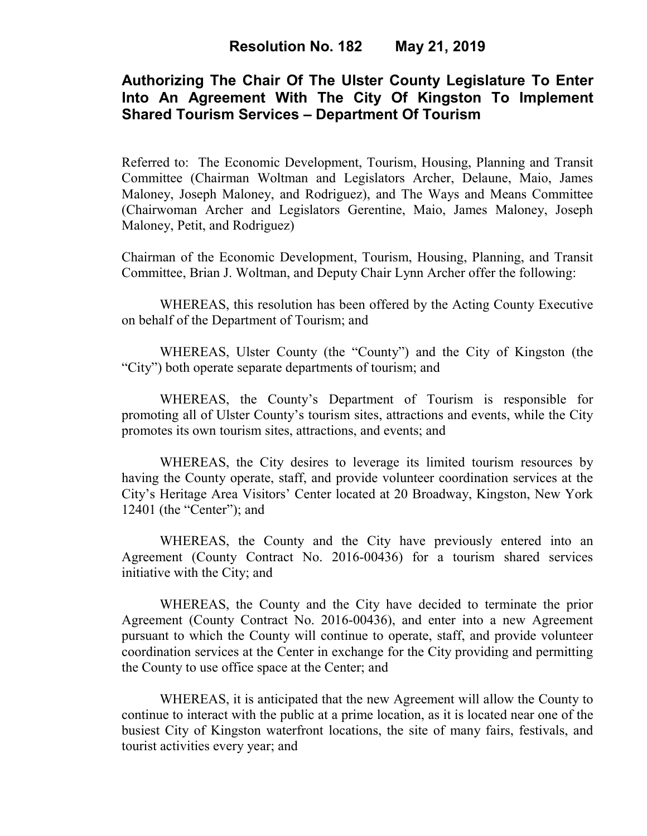# **Authorizing The Chair Of The Ulster County Legislature To Enter Into An Agreement With The City Of Kingston To Implement Shared Tourism Services – Department Of Tourism**

Referred to: The Economic Development, Tourism, Housing, Planning and Transit Committee (Chairman Woltman and Legislators Archer, Delaune, Maio, James Maloney, Joseph Maloney, and Rodriguez), and The Ways and Means Committee (Chairwoman Archer and Legislators Gerentine, Maio, James Maloney, Joseph Maloney, Petit, and Rodriguez)

Chairman of the Economic Development, Tourism, Housing, Planning, and Transit Committee, Brian J. Woltman, and Deputy Chair Lynn Archer offer the following:

WHEREAS, this resolution has been offered by the Acting County Executive on behalf of the Department of Tourism; and

WHEREAS, Ulster County (the "County") and the City of Kingston (the "City") both operate separate departments of tourism; and

WHEREAS, the County's Department of Tourism is responsible for promoting all of Ulster County's tourism sites, attractions and events, while the City promotes its own tourism sites, attractions, and events; and

WHEREAS, the City desires to leverage its limited tourism resources by having the County operate, staff, and provide volunteer coordination services at the City's Heritage Area Visitors' Center located at 20 Broadway, Kingston, New York 12401 (the "Center"); and

WHEREAS, the County and the City have previously entered into an Agreement (County Contract No. 2016-00436) for a tourism shared services initiative with the City; and

WHEREAS, the County and the City have decided to terminate the prior Agreement (County Contract No. 2016-00436), and enter into a new Agreement pursuant to which the County will continue to operate, staff, and provide volunteer coordination services at the Center in exchange for the City providing and permitting the County to use office space at the Center; and

WHEREAS, it is anticipated that the new Agreement will allow the County to continue to interact with the public at a prime location, as it is located near one of the busiest City of Kingston waterfront locations, the site of many fairs, festivals, and tourist activities every year; and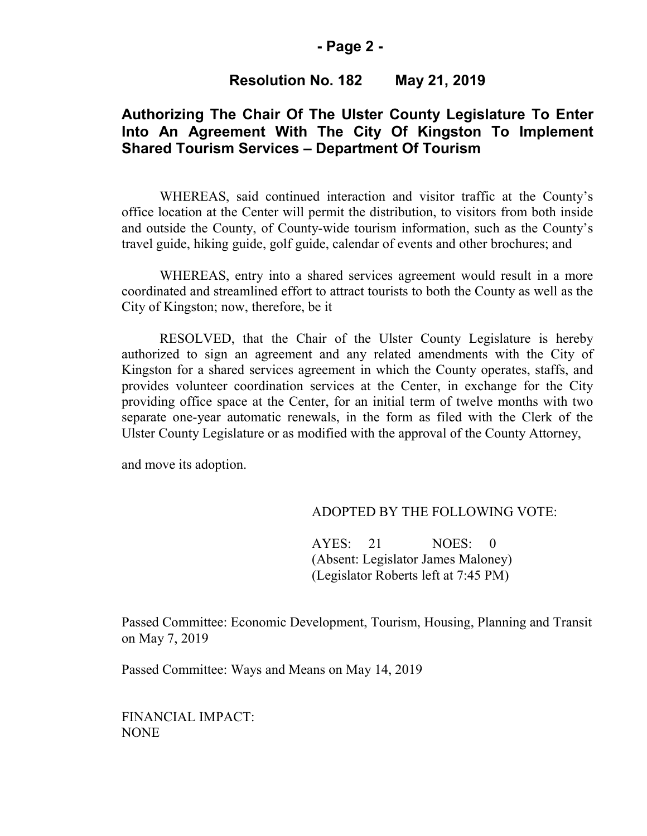#### **- Page 2 -**

## **Resolution No. 182 May 21, 2019**

## **Authorizing The Chair Of The Ulster County Legislature To Enter Into An Agreement With The City Of Kingston To Implement Shared Tourism Services – Department Of Tourism**

WHEREAS, said continued interaction and visitor traffic at the County's office location at the Center will permit the distribution, to visitors from both inside and outside the County, of County-wide tourism information, such as the County's travel guide, hiking guide, golf guide, calendar of events and other brochures; and

WHEREAS, entry into a shared services agreement would result in a more coordinated and streamlined effort to attract tourists to both the County as well as the City of Kingston; now, therefore, be it

RESOLVED, that the Chair of the Ulster County Legislature is hereby authorized to sign an agreement and any related amendments with the City of Kingston for a shared services agreement in which the County operates, staffs, and provides volunteer coordination services at the Center, in exchange for the City providing office space at the Center, for an initial term of twelve months with two separate one-year automatic renewals, in the form as filed with the Clerk of the Ulster County Legislature or as modified with the approval of the County Attorney,

and move its adoption.

#### ADOPTED BY THE FOLLOWING VOTE:

AYES: 21 NOES: 0 (Absent: Legislator James Maloney) (Legislator Roberts left at 7:45 PM)

Passed Committee: Economic Development, Tourism, Housing, Planning and Transit on May 7, 2019

Passed Committee: Ways and Means on May 14, 2019

FINANCIAL IMPACT: NONE